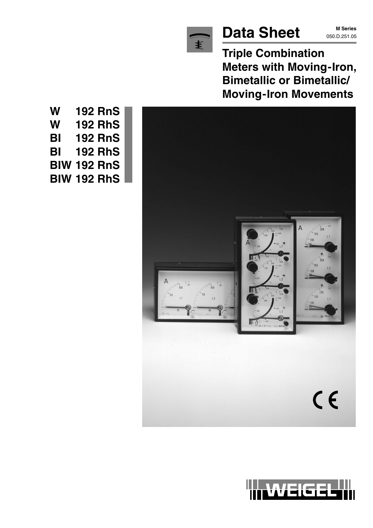

# **Data Sheet** M Series

**M Series**

**Triple Combination Meters with Moving-Iron, Bimetallic or Bimetallic/ Moving-Iron Movements**



WEIGEL

**W 192 RnS W 192 RhS BI 192 RnS BI 192 RhS BIW 192 RnS BIW 192 RhS**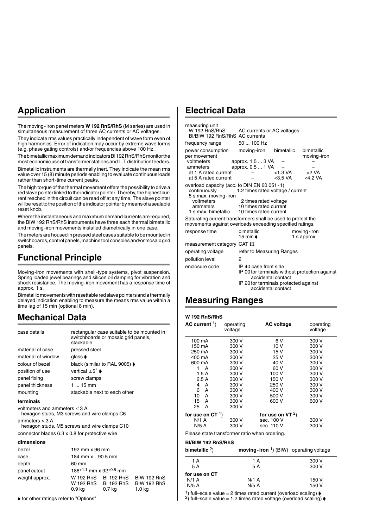### **Application**

The moving-iron panel meters **W 192 RnS/RhS** (M series) are used in simultaneous measurement of three AC currents or AC voltages.

They indicate rms values practically independent of wave form even of high harmonics. Error of indication may occur by extreme wave forms (e.g. phase gating controls) and/or frequencies above 100 Hz.

The bimetallic maximum demand indicators BI 192 RnS/RhS monitor the most economic use of transformer stations and L.T. distribution feeders.

Bimetallic instruments are thermally inert. They indicate the mean rms value over 15 (8) minute periods enabling to evaluate continuous loads rather than short-time current peaks.

The high torque of the thermal movement offers the possibility to drive a red slave pointer linked to the indicator pointer. Thereby, the highest current reached in the circuit can be read off at any time. The slave pointer will be reset to the position of the indicator pointer by means of a sealable reset knob.

Where the instantaneous and maximum demand currents are required, the BIW 192 RnS/RhS instruments have three each thermal bimetallic and moving-iron movements installed diametrically in one case.

The meters are housed in pressed steel cases suitable to be mounted in switchboards, control panels, machine tool consoles and/or mosaic grid panels.

### **Functional Principle**

Moving-iron movements with shell-type systems, pivot suspension. Spring loaded jewel bearings and silicon oil damping for vibration and shock resistance. The moving-iron movement has a response time of approx. 1 s.

Bimetallic movements with resettable red slave pointers and a thermally delayed indication enabling to measure the means rms value within a time lag of 15 min (optional 8 min).

#### **Mechanical Data**

| case details                                                                                                                                                                                            | stackable                               | switchboards or mosaic grid panels,                    | rectangular case suitable to be mounted in         |
|---------------------------------------------------------------------------------------------------------------------------------------------------------------------------------------------------------|-----------------------------------------|--------------------------------------------------------|----------------------------------------------------|
| material of case                                                                                                                                                                                        | pressed steel                           |                                                        |                                                    |
| material of window                                                                                                                                                                                      | qlass $\bullet$                         |                                                        |                                                    |
| colour of bezel                                                                                                                                                                                         |                                         | black (similar to RAL 9005) $\blacklozenge$            |                                                    |
| position of use                                                                                                                                                                                         | vertical $\pm 5^{\circ}$ $\bullet$      |                                                        |                                                    |
| panel fixing                                                                                                                                                                                            | screw clamps                            |                                                        |                                                    |
| panel thickness                                                                                                                                                                                         | $115$ mm                                |                                                        |                                                    |
| mounting                                                                                                                                                                                                |                                         | stackable next to each other                           |                                                    |
| terminals                                                                                                                                                                                               |                                         |                                                        |                                                    |
| voltmeters and ammeters $\leq$ 3 A<br>hexagon studs, M3 screws and wire clamps C6<br>ammeters $>$ 3 A<br>hexagon studs, M5 screws and wire clamps C10<br>connector blades 6.3 x 0.8 for protective wire |                                         |                                                        |                                                    |
| dimensions                                                                                                                                                                                              |                                         |                                                        |                                                    |
| bezel                                                                                                                                                                                                   | 192 mm x 96 mm                          |                                                        |                                                    |
| case                                                                                                                                                                                                    | 184 mm x 90.5 mm                        |                                                        |                                                    |
| depth                                                                                                                                                                                                   | 60 mm                                   |                                                        |                                                    |
| panel cutout                                                                                                                                                                                            | $186^{+1.1}$ mm x 92 <sup>+0.8</sup> mm |                                                        |                                                    |
| weight approx.                                                                                                                                                                                          | 0.9 ka                                  | W 192 RnS BI 192 RnS<br>W 192 RhS BI 192 RhS<br>0.7 ka | <b>BIW 192 RnS</b><br><b>BIW 192 RhS</b><br>1.0 kg |

 $\blacklozenge$  for other ratings refer to "Options"

#### **Electrical Data**

| measuring unit<br>W 192 RnS/RhS<br>BI/BIW 192 RnS/RhS AC currents<br>frequency range                            | AC currents or AC voltages<br>50  100 Hz                                                                                           |                                                |
|-----------------------------------------------------------------------------------------------------------------|------------------------------------------------------------------------------------------------------------------------------------|------------------------------------------------|
| power consumption<br>per movement<br>voltmeters<br>ammeters<br>at 1 A rated current<br>at 5 A rated current     | bimetallic<br>moving-iron<br>approx. 1.5  3 VA<br>approx. 0.5  1 VA<br><1.3 VA<br><3.5 VA                                          | bimetallic<br>moving-iron<br>$<$ VA<br><4.2 VA |
| overload capacity (acc. to DIN EN 60 051 - 1)<br>continuously<br>5 s max. moving-iron<br>voltmeters<br>ammeters | 1.2 times rated voltage / current<br>2 times rated voltage<br>10 times rated current<br>1 s max, bimetallic 10 times rated current |                                                |
|                                                                                                                 | Saturating current transformers shall be used to protect the<br>movements against overloads exceeding specified ratings.           |                                                |
| response time                                                                                                   | bimetallic<br>15 min <b>≱</b>                                                                                                      | moving-iron<br>1 s approx.                     |
| measurement category CAT III                                                                                    |                                                                                                                                    |                                                |
| operating voltage                                                                                               | refer to Measuring Ranges                                                                                                          |                                                |
| pollution level                                                                                                 | 2                                                                                                                                  |                                                |

enclosure code IP 40 case front side IP 00 for terminals without protection against accidental contact IP 20 for terminals protected against accidental contact

#### **Measuring Ranges**

#### **W 192 RnS/RhS**

| AC current $\frac{1}{1}$ ) | operating<br>voltage | <b>AC voltage</b>  | operating<br>voltage |
|----------------------------|----------------------|--------------------|----------------------|
| 100 mA                     | 300 V                | 6 V                | 300 V                |
| 150 mA                     | 300 V                | 10 V               | 300 V                |
| 250 mA                     | 300 V                | 15 V               | 300 V                |
| 400 mA                     | 300 V                | 25 V               | 300 V                |
| 600 mA                     | 300 V                | 40 V               | 300 V                |
| 1 A                        | 300 V                | 60 V               | 300 V                |
| 1.5 A                      | 300 V                | 100 V              | 300 V                |
| 2.5A                       | 300 V                | 150 V              | 300 V                |
| 4 A                        | 300 V                | 250 V              | 300 V                |
| 6<br>A                     | 300 V                | 400 V              | 300 V                |
| 10 A                       | 300 V                | 500 V              | 300 V                |
| 15<br>A                    | 300 V                | 600 V              | 600 V                |
| 25<br>A                    | 300 V                |                    |                      |
| for use on $CT1$ )         |                      | for use on VT $2)$ |                      |
| N/1 A                      | 300 V                | sec. 100 V         | 300 V                |
| N/5 A                      | 300 V                | sec. 110 V         | 300 V                |

Please state transformer ratio when ordering.

#### **BI/BIW 192 RnS/RhS**

| bimetallic $2)$ | <b>moving-iron</b> $(1)$ (BIW) operating voltage |       |
|-----------------|--------------------------------------------------|-------|
| 1 A             | 1 A                                              | 300 V |
| 5 A             | 5 A                                              | 300 V |
| for use on CT   |                                                  |       |
| $N/1$ A         | $N/1$ A                                          | 150 V |
| N/5A            | N/5A                                             | 150 V |

1) full–scale value = 2 times rated current (overload scaling)  $\phi$ <br>2) full–scale value = 1.2 times rated voltage (overload scaling)  $\phi$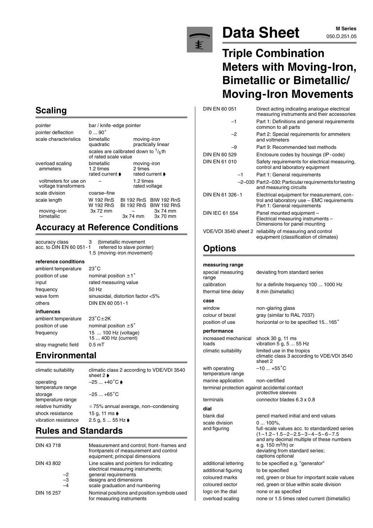#### **Scaling**

| $090^\circ$             |                            |                                                                                                                       |
|-------------------------|----------------------------|-----------------------------------------------------------------------------------------------------------------------|
| bimetallic<br>quadratic | moving-iron                | practically linear                                                                                                    |
|                         |                            |                                                                                                                       |
| bimetallic<br>1.2 times | moving-iron<br>2 times     | rated current ♦                                                                                                       |
|                         | 1.2 times<br>rated voltage |                                                                                                                       |
| coarse-fine             |                            |                                                                                                                       |
| W 192 RnS<br>W 192 RhS  |                            | BI 192 RnS BIW 192 RnS<br>BI 192 RhS BIW 192 RhS                                                                      |
| 3x 72 mm                | 3x 74 mm                   | 3x 74 mm<br>3x 70 mm                                                                                                  |
|                         |                            | bar / knife-edge pointer<br>scales are calibrated down to $\frac{1}{5}$ th<br>of rated scale value<br>rated current ♦ |

#### **Accuracy at Reference Conditions**

accuracy class 3 (bimetallic movement<br>acc. to DIN EN 60 051 - 1 referred to slave poin

#### **reference conditions**

ambient temperature frequency 50 Hz **influences**

 $23^{\circ}$ C position of use nominal position  $\pm 1^{\circ}$ input rated measuring value wave form sinusoidal, distortion factor <5% others DIN EN 60 051-1  $23^{\circ}$ C $\pm$ 2K position of use nominal position  $\pm 5^{\circ}$ 

15 ... 400 Hz (current)

referred to slave pointer) 1.5 (moving-iron movement)

stray magnetic field 0.5 mT

ambient temperature

### **Environmental**

frequency 15 ... 100 Hz (voltage)

operating  $-25 ... +40^{\circ} \text{C}$ temperature range storage  $-25...+65^{\circ}$ C temperature range shock resistance 15 g, 11 ms  $\bullet$ vibration resistance  $2.5 g, 5 ... 55 Hz$ 

climatic suitability climatic class 2 according to VDE/VDI 3540 sheet 2 **▶** relative humidity  $\leq 75\%$  annual average, non–condensing

### **Rules and Standards**

| DIN 43718                          | Measurement and control; front-frames and<br>frontpanels of measurement and control<br>equipment; principal dimensions                                           |
|------------------------------------|------------------------------------------------------------------------------------------------------------------------------------------------------------------|
| DIN 43 802<br>$-2$<br>$-3$<br>$-4$ | Line scales and pointers for indicating<br>electrical measuring instruments;<br>general requirements<br>designs and dimensions<br>scale graduation and numbering |
| DIN 16 257                         | Nominal positions and position symbols used<br>for measuring instruments                                                                                         |



# **Data Sheet** M Series

# **Triple Combination Meters with Moving-Iron, Bimetallic or Bimetallic/ Moving-Iron Movements**

DIN EN 60 051 Direct acting indicating analogue electrical measuring instruments and their accessories –1 Part 1: Definitions and general requirements common to all parts –2 Part 2: Special requirements for ammeters and voltmeters –9 Part 9: Recommended test methods DIN EN 60 529 Enclosure codes by housings (IP-code) DIN EN 61 010 Safety requirements for electrical measuring, control and laboratory equipment –1 Part 1: General requirements –2–030 Part 2–030: Particular requirements for testing and measuring circuits DIN EN 61 326-1 Electrical equipment for measurement, control and laboratory use – EMC requirements Part 1: General requirements DIN IEC 61 554 Panel mounted equipment – Electrical measuring instruments – Dimensions for panel mounting VDE/VDI 3540 sheet 2 reliability of measuring and control equipment (classification of climates)

# **Options**

| measuring range                                |                                                                                                               |
|------------------------------------------------|---------------------------------------------------------------------------------------------------------------|
| special measuring<br>range                     | deviating from standard series                                                                                |
| calibration                                    | for a definite frequency 100  1000 Hz                                                                         |
| thermal time delay                             | 8 min (bimetallic)                                                                                            |
| case                                           |                                                                                                               |
| window                                         | non-glaring glass                                                                                             |
| colour of bezel                                | gray (similar to RAL 7037)                                                                                    |
| position of use                                | horizontal or to be specified 15165°                                                                          |
| performance                                    |                                                                                                               |
| increased mechanical<br>loads                  | shock 30 g, 11 ms<br>vibration 5 g, $555$ Hz                                                                  |
| climatic suitability                           | limited use in the tropics<br>climatic class 3 according to VDE/VDI 3540<br>sheet 2                           |
| with operating<br>temperature range            | $-10+55^{\circ}$ C                                                                                            |
| marine application                             | non-certified                                                                                                 |
| terminal protection against accidental contact | protective sleeves                                                                                            |
| terminals                                      | connector blades 6.3 x 0.8                                                                                    |
| dial                                           |                                                                                                               |
| blank dial                                     | pencil marked initial and end values                                                                          |
| scale division                                 | 0  100%,                                                                                                      |
| and figuring                                   | full-scale values acc. to standardized series                                                                 |
|                                                | $(1-1.2-1.5-2-2.5-3-4-5-6-7.5$<br>and any decimal multiple of these numbers<br>e.g. 150 m <sup>3</sup> /h) or |
|                                                | deviating from standard series;<br>captions optional                                                          |
| additional lettering                           | to be specified e.g. "generator"                                                                              |
| additional figuring                            | to be specified                                                                                               |
| coloured marks                                 | red, green or blue for important scale values                                                                 |
| coloured sector                                | red, green or blue within scale division                                                                      |
| logo on the dial                               | none or as specified                                                                                          |
| overload scaling                               | none or 1.5 times rated current (bimetallic)                                                                  |